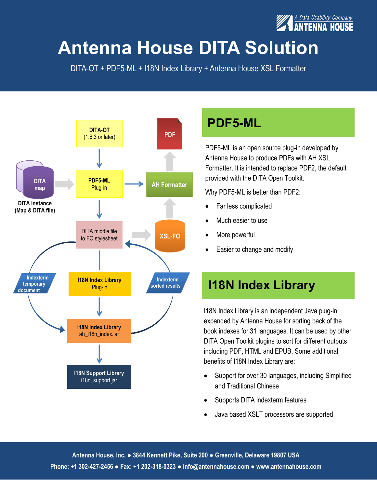

## **Antenna House DITA Solution**

DITA-OT + PDF5-ML + I18N Index Library + Antenna House XSL Formatter



### **PDF5-ML**

PDF5-ML is an open source plug-in developed by Antenna House to produce PDFs with AH XSL Formatter. It is intended to replace PDF2, the default provided with the DITA Open Toolkit.

Why PDF5-ML is better than PDF2:

- Far less complicated
- Much easier to use
- More powerful
- Easier to change and modify

### **I18N Index Library**

I18N Index Library is an independent Java plug-in expanded by Antenna House for sorting back of the book indexes for 31 languages. It can be used by other DITA Open Toolkit plugins to sort for different outputs including PDF, HTML and EPUB. Some additional benefits of I18N Index Library are:

- Support for over 30 languages, including Simplified and Traditional Chinese
- Supports DITA indexterm features
- Java based XSLT processors are supported

**Antenna House, Inc. ● 3844 Kennett Pike, Suite 200 ● Greenville, Delaware 19807 USA Phone: +1 302-427-2456 ● Fax: +1 202-318-0323 ● info@antennahouse.com ● www.antennahouse.com**